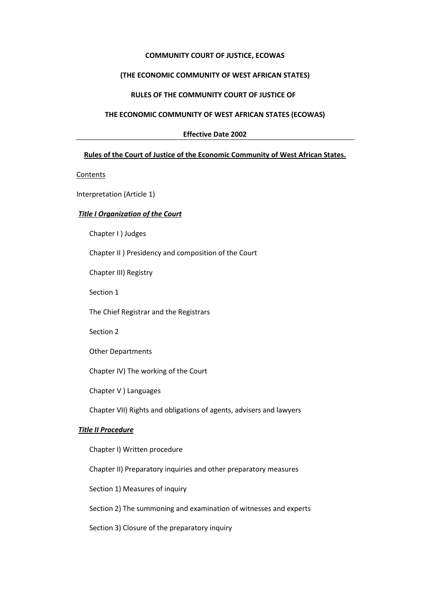#### **COMMUNITY COURT OF JUSTICE, ECOWAS**

#### **(THE ECONOMIC COMMUNITY OF WEST AFRICAN STATES)**

#### **RULES OF THE COMMUNITY COURT OF JUSTICE OF**

### **THE ECONOMIC COMMUNITY OF WEST AFRICAN STATES (ECOWAS)**

#### **Effective Date 2002**

#### **Rules of the Court of Justice of the Economic Community of West African States.**

#### Contents

Interpretation (Article 1)

#### *Title I Organization of the Court*

Chapter I ) Judges

Chapter II ) Presidency and composition of the Court

Chapter III) Registry

Section 1

The Chief Registrar and the Registrars

Section 2

Other Departments

Chapter IV) The working of the Court

Chapter V ) Languages

Chapter VII) Rights and obligations of agents, advisers and lawyers

#### *Title II Procedure*

Chapter I) Written procedure

Chapter II) Preparatory inquiries and other preparatory measures

Section 1) Measures of inquiry

Section 2) The summoning and examination of witnesses and experts

Section 3) Closure of the preparatory inquiry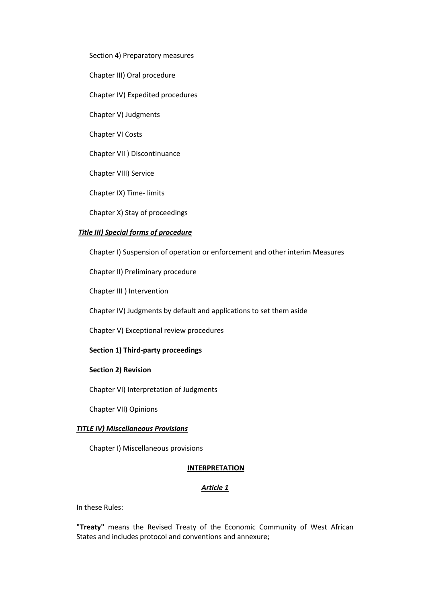Section 4) Preparatory measures

Chapter III) Oral procedure

Chapter IV) Expedited procedures

Chapter V) Judgments

Chapter VI Costs

Chapter VII ) Discontinuance

Chapter VIII) Service

Chapter IX) Time- limits

Chapter X) Stay of proceedings

# *Title III) Special forms of procedure*

Chapter I) Suspension of operation or enforcement and other interim Measures

Chapter II) Preliminary procedure

Chapter III ) Intervention

Chapter IV) Judgments by default and applications to set them aside

Chapter V) Exceptional review procedures

#### **Section 1) Third-party proceedings**

#### **Section 2) Revision**

Chapter VI) Interpretation of Judgments

Chapter VII) Opinions

#### *TITLE IV) Miscellaneous Provisions*

Chapter I) Miscellaneous provisions

#### **INTERPRETATION**

### *Article 1*

In these Rules:

**"Treaty"** means the Revised Treaty of the Economic Community of West African States and includes protocol and conventions and annexure;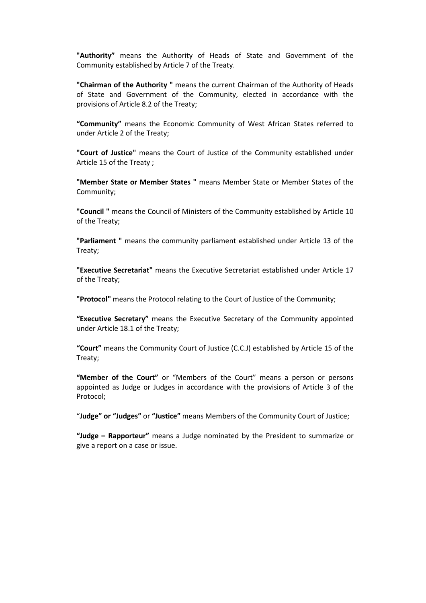**"Authority"** means the Authority of Heads of State and Government of the Community established by Article 7 of the Treaty.

**"Chairman of the Authority "** means the current Chairman of the Authority of Heads of State and Government of the Community, elected in accordance with the provisions of Article 8.2 of the Treaty;

**"Community"** means the Economic Community of West African States referred to under Article 2 of the Treaty;

**"Court of Justice"** means the Court of Justice of the Community established under Article 15 of the Treaty ;

**"Member State or Member States "** means Member State or Member States of the Community;

**"Council "** means the Council of Ministers of the Community established by Article 10 of the Treaty;

**"Parliament "** means the community parliament established under Article 13 of the Treaty;

**"Executive Secretariat"** means the Executive Secretariat established under Article 17 of the Treaty;

**"Protocol"** means the Protocol relating to the Court of Justice of the Community;

**"Executive Secretary"** means the Executive Secretary of the Community appointed under Article 18.1 of the Treaty;

**"Court"** means the Community Court of Justice (C.C.J) established by Article 15 of the Treaty;

**"Member of the Court"** or "Members of the Court" means a person or persons appointed as Judge or Judges in accordance with the provisions of Article 3 of the Protocol;

"**Judge" or "Judges"** or **"Justice"** means Members of the Community Court of Justice;

**"Judge – Rapporteur"** means a Judge nominated by the President to summarize or give a report on a case or issue.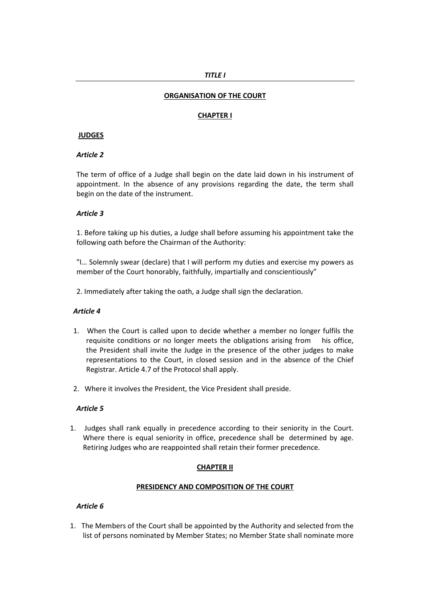#### *TITLE I*

#### **ORGANISATION OF THE COURT**

#### **CHAPTER I**

# **JUDGES**

#### *Article 2*

The term of office of a Judge shall begin on the date laid down in his instrument of appointment. In the absence of any provisions regarding the date, the term shall begin on the date of the instrument.

#### *Article 3*

1. Before taking up his duties, a Judge shall before assuming his appointment take the following oath before the Chairman of the Authority:

"I… Solemnly swear (declare) that I will perform my duties and exercise my powers as member of the Court honorably, faithfully, impartially and conscientiously"

2. Immediately after taking the oath, a Judge shall sign the declaration.

#### *Article 4*

- 1. When the Court is called upon to decide whether a member no longer fulfils the requisite conditions or no longer meets the obligations arising from his office, the President shall invite the Judge in the presence of the other judges to make representations to the Court, in closed session and in the absence of the Chief Registrar. Article 4.7 of the Protocol shall apply.
- 2. Where it involves the President, the Vice President shall preside.

### *Article 5*

1. Judges shall rank equally in precedence according to their seniority in the Court. Where there is equal seniority in office, precedence shall be determined by age. Retiring Judges who are reappointed shall retain their former precedence.

#### **CHAPTER II**

#### **PRESIDENCY AND COMPOSITION OF THE COURT**

#### *Article 6*

1. The Members of the Court shall be appointed by the Authority and selected from the list of persons nominated by Member States; no Member State shall nominate more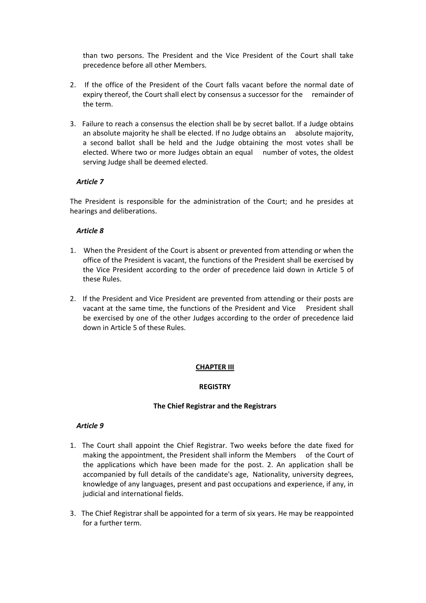than two persons. The President and the Vice President of the Court shall take precedence before all other Members.

- 2. If the office of the President of the Court falls vacant before the normal date of expiry thereof, the Court shall elect by consensus a successor for the remainder of the term.
- 3. Failure to reach a consensus the election shall be by secret ballot. If a Judge obtains an absolute majority he shall be elected. If no Judge obtains an absolute majority, a second ballot shall be held and the Judge obtaining the most votes shall be elected. Where two or more Judges obtain an equal number of votes, the oldest serving Judge shall be deemed elected.

# *Article 7*

The President is responsible for the administration of the Court; and he presides at hearings and deliberations.

# *Article 8*

- 1. When the President of the Court is absent or prevented from attending or when the office of the President is vacant, the functions of the President shall be exercised by the Vice President according to the order of precedence laid down in Article 5 of these Rules.
- 2. If the President and Vice President are prevented from attending or their posts are vacant at the same time, the functions of the President and Vice President shall be exercised by one of the other Judges according to the order of precedence laid down in Article 5 of these Rules.

### **CHAPTER III**

### **REGISTRY**

### **The Chief Registrar and the Registrars**

- 1. The Court shall appoint the Chief Registrar. Two weeks before the date fixed for making the appointment, the President shall inform the Members of the Court of the applications which have been made for the post. 2. An application shall be accompanied by full details of the candidate's age, Nationality, university degrees, knowledge of any languages, present and past occupations and experience, if any, in judicial and international fields.
- 3. The Chief Registrar shall be appointed for a term of six years. He may be reappointed for a further term.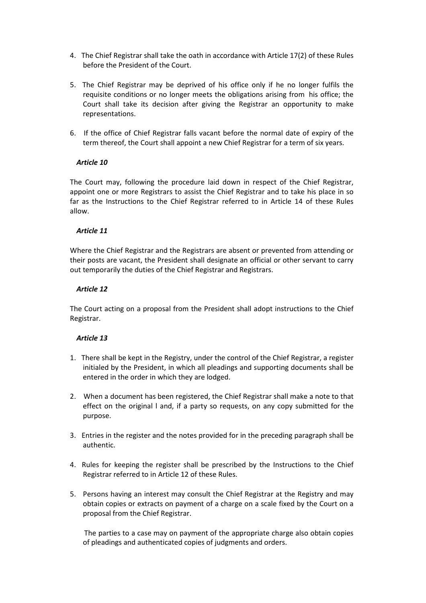- 4. The Chief Registrar shall take the oath in accordance with Article 17(2) of these Rules before the President of the Court.
- 5. The Chief Registrar may be deprived of his office only if he no longer fulfils the requisite conditions or no longer meets the obligations arising from his office; the Court shall take its decision after giving the Registrar an opportunity to make representations.
- 6. If the office of Chief Registrar falls vacant before the normal date of expiry of the term thereof, the Court shall appoint a new Chief Registrar for a term of six years.

The Court may, following the procedure laid down in respect of the Chief Registrar, appoint one or more Registrars to assist the Chief Registrar and to take his place in so far as the Instructions to the Chief Registrar referred to in Article 14 of these Rules allow.

# *Article 11*

Where the Chief Registrar and the Registrars are absent or prevented from attending or their posts are vacant, the President shall designate an official or other servant to carry out temporarily the duties of the Chief Registrar and Registrars.

# *Article 12*

The Court acting on a proposal from the President shall adopt instructions to the Chief Registrar.

### *Article 13*

- 1. There shall be kept in the Registry, under the control of the Chief Registrar, a register initialed by the President, in which all pleadings and supporting documents shall be entered in the order in which they are lodged.
- 2. When a document has been registered, the Chief Registrar shall make a note to that effect on the original l and, if a party so requests, on any copy submitted for the purpose.
- 3. Entries in the register and the notes provided for in the preceding paragraph shall be authentic.
- 4. Rules for keeping the register shall be prescribed by the Instructions to the Chief Registrar referred to in Article 12 of these Rules.
- 5. Persons having an interest may consult the Chief Registrar at the Registry and may obtain copies or extracts on payment of a charge on a scale fixed by the Court on a proposal from the Chief Registrar.

 The parties to a case may on payment of the appropriate charge also obtain copies of pleadings and authenticated copies of judgments and orders.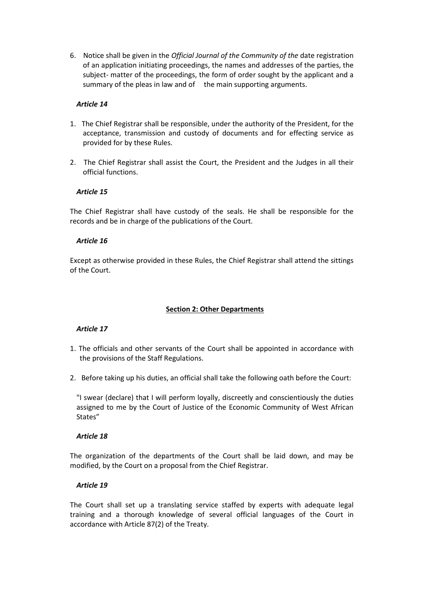6. Notice shall be given in the *Official Journal of the Community of the* date registration of an application initiating proceedings, the names and addresses of the parties, the subject- matter of the proceedings, the form of order sought by the applicant and a summary of the pleas in law and of the main supporting arguments.

### *Article 14*

- 1. The Chief Registrar shall be responsible, under the authority of the President, for the acceptance, transmission and custody of documents and for effecting service as provided for by these Rules.
- 2. The Chief Registrar shall assist the Court, the President and the Judges in all their official functions.

# *Article 15*

The Chief Registrar shall have custody of the seals. He shall be responsible for the records and be in charge of the publications of the Court.

# *Article 16*

Except as otherwise provided in these Rules, the Chief Registrar shall attend the sittings of the Court.

### **Section 2: Other Departments**

### *Article 17*

- 1. The officials and other servants of the Court shall be appointed in accordance with the provisions of the Staff Regulations.
- 2. Before taking up his duties, an official shall take the following oath before the Court:

"I swear (declare) that I will perform loyally, discreetly and conscientiously the duties assigned to me by the Court of Justice of the Economic Community of West African States"

### *Article 18*

The organization of the departments of the Court shall be laid down, and may be modified, by the Court on a proposal from the Chief Registrar.

### *Article 19*

The Court shall set up a translating service staffed by experts with adequate legal training and a thorough knowledge of several official languages of the Court in accordance with Article 87(2) of the Treaty.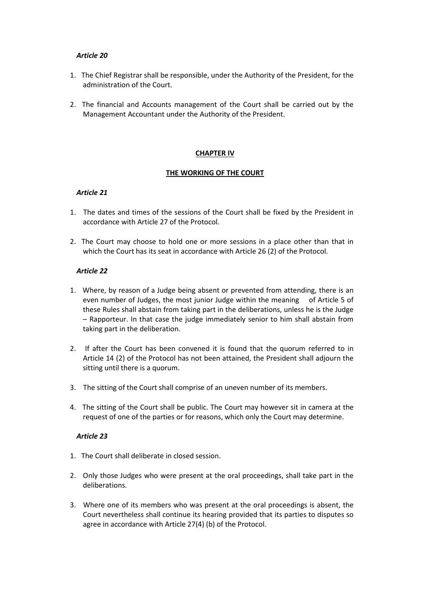- 1. The Chief Registrar shall be responsible, under the Authority of the President, for the administration of the Court.
- 2. The financial and Accounts management of the Court shall be carried out by the Management Accountant under the Authority of the President.

### **CHAPTER IV**

# **THE WORKING OF THE COURT**

# *Article 21*

- 1. The dates and times of the sessions of the Court shall be fixed by the President in accordance with Article 27 of the Protocol.
- 2. The Court may choose to hold one or more sessions in a place other than that in which the Court has its seat in accordance with Article 26 (2) of the Protocol.

# *Article 22*

- 1. Where, by reason of a Judge being absent or prevented from attending, there is an even number of Judges, the most junior Judge within the meaning of Article 5 of these Rules shall abstain from taking part in the deliberations, unless he is the Judge – Rapporteur. In that case the judge immediately senior to him shall abstain from taking part in the deliberation.
- 2. If after the Court has been convened it is found that the quorum referred to in Article 14 (2) of the Protocol has not been attained, the President shall adjourn the sitting until there is a quorum.
- 3. The sitting of the Court shall comprise of an uneven number of its members.
- 4. The sitting of the Court shall be public. The Court may however sit in camera at the request of one of the parties or for reasons, which only the Court may determine.

- 1. The Court shall deliberate in closed session.
- 2. Only those Judges who were present at the oral proceedings, shall take part in the deliberations.
- 3. Where one of its members who was present at the oral proceedings is absent, the Court nevertheless shall continue its hearing provided that its parties to disputes so agree in accordance with Article 27(4) (b) of the Protocol.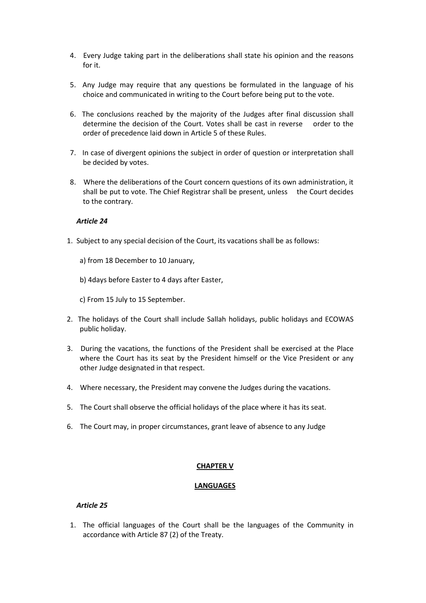- 4. Every Judge taking part in the deliberations shall state his opinion and the reasons for it.
- 5. Any Judge may require that any questions be formulated in the language of his choice and communicated in writing to the Court before being put to the vote.
- 6. The conclusions reached by the majority of the Judges after final discussion shall determine the decision of the Court. Votes shall be cast in reverse order to the order of precedence laid down in Article 5 of these Rules.
- 7. In case of divergent opinions the subject in order of question or interpretation shall be decided by votes.
- 8. Where the deliberations of the Court concern questions of its own administration, it shall be put to vote. The Chief Registrar shall be present, unless the Court decides to the contrary.

- 1. Subject to any special decision of the Court, its vacations shall be as follows:
	- a) from 18 December to 10 January,
	- b) 4days before Easter to 4 days after Easter,

c) From 15 July to 15 September.

- 2. The holidays of the Court shall include Sallah holidays, public holidays and ECOWAS public holiday.
- 3. During the vacations, the functions of the President shall be exercised at the Place where the Court has its seat by the President himself or the Vice President or any other Judge designated in that respect.
- 4. Where necessary, the President may convene the Judges during the vacations.
- 5. The Court shall observe the official holidays of the place where it has its seat.
- 6. The Court may, in proper circumstances, grant leave of absence to any Judge

### **CHAPTER V**

### **LANGUAGES**

### *Article 25*

1. The official languages of the Court shall be the languages of the Community in accordance with Article 87 (2) of the Treaty.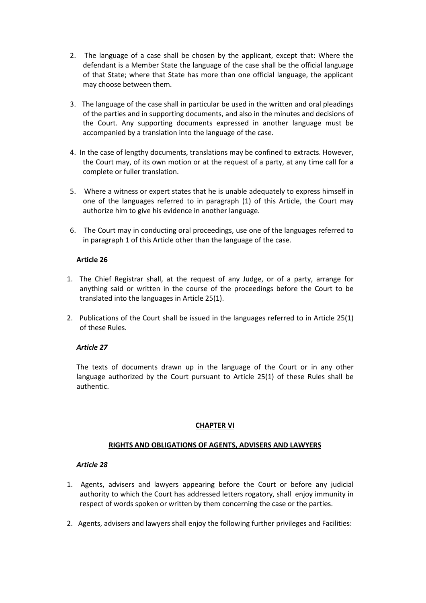- 2. The language of a case shall be chosen by the applicant, except that: Where the defendant is a Member State the language of the case shall be the official language of that State; where that State has more than one official language, the applicant may choose between them.
- 3. The language of the case shall in particular be used in the written and oral pleadings of the parties and in supporting documents, and also in the minutes and decisions of the Court. Any supporting documents expressed in another language must be accompanied by a translation into the language of the case.
- 4. In the case of lengthy documents, translations may be confined to extracts. However, the Court may, of its own motion or at the request of a party, at any time call for a complete or fuller translation.
- 5. Where a witness or expert states that he is unable adequately to express himself in one of the languages referred to in paragraph (1) of this Article, the Court may authorize him to give his evidence in another language.
- 6. The Court may in conducting oral proceedings, use one of the languages referred to in paragraph 1 of this Article other than the language of the case.

- 1. The Chief Registrar shall, at the request of any Judge, or of a party, arrange for anything said or written in the course of the proceedings before the Court to be translated into the languages in Article 25(1).
- 2. Publications of the Court shall be issued in the languages referred to in Article 25(1) of these Rules.

### *Article 27*

The texts of documents drawn up in the language of the Court or in any other language authorized by the Court pursuant to Article 25(1) of these Rules shall be authentic.

### **CHAPTER VI**

### **RIGHTS AND OBLIGATIONS OF AGENTS, ADVISERS AND LAWYERS**

- 1. Agents, advisers and lawyers appearing before the Court or before any judicial authority to which the Court has addressed letters rogatory, shall enjoy immunity in respect of words spoken or written by them concerning the case or the parties.
- 2. Agents, advisers and lawyers shall enjoy the following further privileges and Facilities: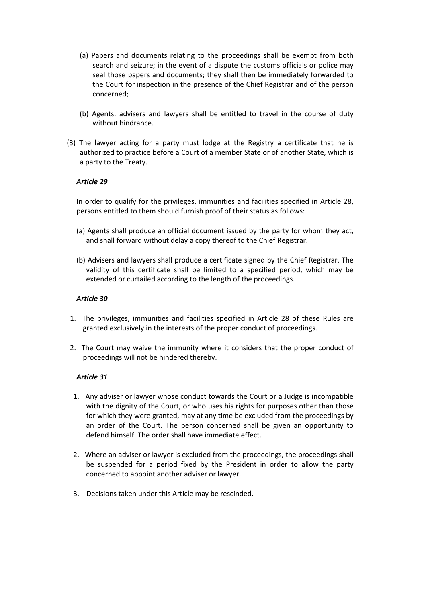- (a) Papers and documents relating to the proceedings shall be exempt from both search and seizure; in the event of a dispute the customs officials or police may seal those papers and documents; they shall then be immediately forwarded to the Court for inspection in the presence of the Chief Registrar and of the person concerned;
- (b) Agents, advisers and lawyers shall be entitled to travel in the course of duty without hindrance.
- (3) The lawyer acting for a party must lodge at the Registry a certificate that he is authorized to practice before a Court of a member State or of another State, which is a party to the Treaty.

In order to qualify for the privileges, immunities and facilities specified in Article 28, persons entitled to them should furnish proof of their status as follows:

- (a) Agents shall produce an official document issued by the party for whom they act, and shall forward without delay a copy thereof to the Chief Registrar.
- (b) Advisers and lawyers shall produce a certificate signed by the Chief Registrar. The validity of this certificate shall be limited to a specified period, which may be extended or curtailed according to the length of the proceedings.

### *Article 30*

- 1. The privileges, immunities and facilities specified in Article 28 of these Rules are granted exclusively in the interests of the proper conduct of proceedings.
- 2. The Court may waive the immunity where it considers that the proper conduct of proceedings will not be hindered thereby.

- 1. Any adviser or lawyer whose conduct towards the Court or a Judge is incompatible with the dignity of the Court, or who uses his rights for purposes other than those for which they were granted, may at any time be excluded from the proceedings by an order of the Court. The person concerned shall be given an opportunity to defend himself. The order shall have immediate effect.
- 2. Where an adviser or lawyer is excluded from the proceedings, the proceedings shall be suspended for a period fixed by the President in order to allow the party concerned to appoint another adviser or lawyer.
- 3. Decisions taken under this Article may be rescinded.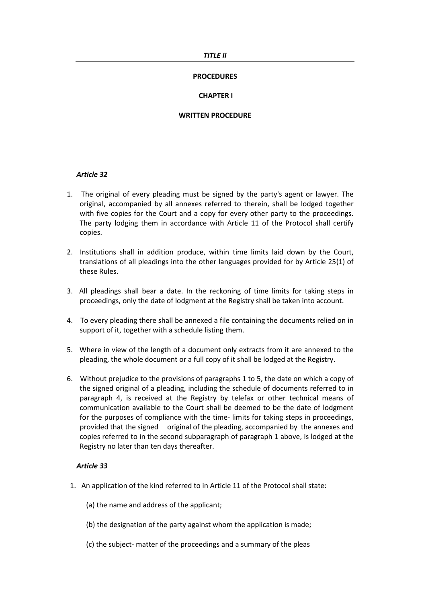#### *TITLE II*

#### **PROCEDURES**

#### **CHAPTER I**

#### **WRITTEN PROCEDURE**

#### *Article 32*

- 1. The original of every pleading must be signed by the party's agent or lawyer. The original, accompanied by all annexes referred to therein, shall be lodged together with five copies for the Court and a copy for every other party to the proceedings. The party lodging them in accordance with Article 11 of the Protocol shall certify copies.
- 2. Institutions shall in addition produce, within time limits laid down by the Court, translations of all pleadings into the other languages provided for by Article 25(1) of these Rules.
- 3. All pleadings shall bear a date. In the reckoning of time limits for taking steps in proceedings, only the date of lodgment at the Registry shall be taken into account.
- 4. To every pleading there shall be annexed a file containing the documents relied on in support of it, together with a schedule listing them.
- 5. Where in view of the length of a document only extracts from it are annexed to the pleading, the whole document or a full copy of it shall be lodged at the Registry.
- 6. Without prejudice to the provisions of paragraphs 1 to 5, the date on which a copy of the signed original of a pleading, including the schedule of documents referred to in paragraph 4, is received at the Registry by telefax or other technical means of communication available to the Court shall be deemed to be the date of lodgment for the purposes of compliance with the time- limits for taking steps in proceedings, provided that the signed original of the pleading, accompanied by the annexes and copies referred to in the second subparagraph of paragraph 1 above, is lodged at the Registry no later than ten days thereafter.

- 1. An application of the kind referred to in Article 11 of the Protocol shall state:
	- (a) the name and address of the applicant;
	- (b) the designation of the party against whom the application is made;
	- (c) the subject- matter of the proceedings and a summary of the pleas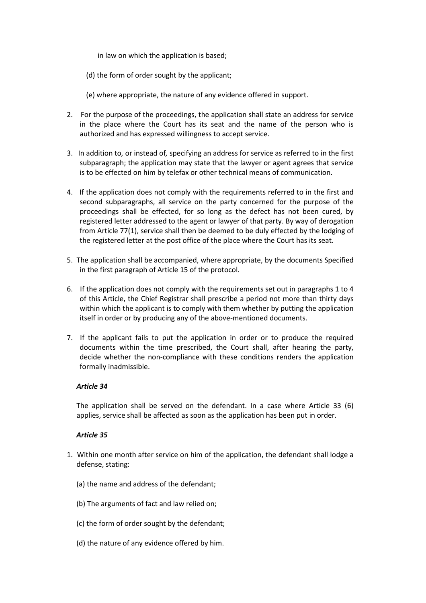in law on which the application is based;

- (d) the form of order sought by the applicant;
- (e) where appropriate, the nature of any evidence offered in support.
- 2. For the purpose of the proceedings, the application shall state an address for service in the place where the Court has its seat and the name of the person who is authorized and has expressed willingness to accept service.
- 3. In addition to*,* or instead of*,* specifying an address for service as referred to in the first subparagraph; the application may state that the lawyer or agent agrees that service is to be effected on him by telefax or other technical means of communication.
- 4. If the application does not comply with the requirements referred to in the first and second subparagraphs, all service on the party concerned for the purpose of the proceedings shall be effected, for so long as the defect has not been cured, by registered letter addressed to the agent or lawyer of that party. By way of derogation from Article 77(1), service shall then be deemed to be duly effected by the lodging of the registered letter at the post office of the place where the Court has its seat.
- 5. The application shall be accompanied, where appropriate, by the documents Specified in the first paragraph of Article 15 of the protocol.
- 6. If the application does not comply with the requirements set out in paragraphs 1 to 4 of this Article, the Chief Registrar shall prescribe a period not more than thirty days within which the applicant is to comply with them whether by putting the application itself in order or by producing any of the above-mentioned documents.
- 7. If the applicant fails to put the application in order or to produce the required documents within the time prescribed, the Court shall, after hearing the party, decide whether the non-compliance with these conditions renders the application formally inadmissible.

### *Article 34*

The application shall be served on the defendant. In a case where Article 33 (6) applies, service shall be affected as soon as the application has been put in order.

- 1. Within one month after service on him of the application, the defendant shall lodge a defense, stating:
	- (a) the name and address of the defendant;
	- (b) The arguments of fact and law relied on;
	- (c) the form of order sought by the defendant;
	- (d) the nature of any evidence offered by him.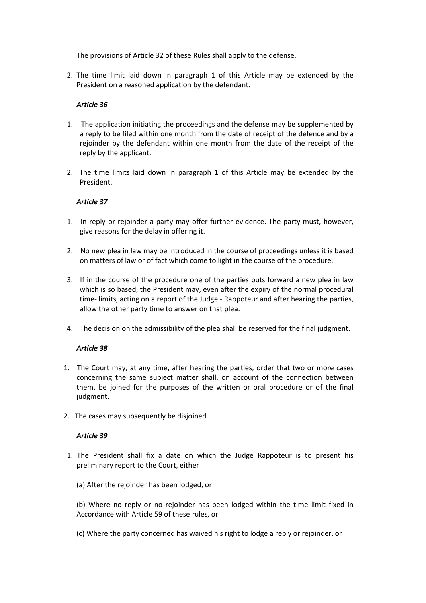The provisions of Article 32 of these Rules shall apply to the defense.

2. The time limit laid down in paragraph 1 of this Article may be extended by the President on a reasoned application by the defendant.

### *Article 36*

- 1. The application initiating the proceedings and the defense may be supplemented by a reply to be filed within one month from the date of receipt of the defence and by a rejoinder by the defendant within one month from the date of the receipt of the reply by the applicant.
- 2. The time limits laid down in paragraph 1 of this Article may be extended by the President.

# *Article 37*

- 1. In reply or rejoinder a party may offer further evidence. The party must, however, give reasons for the delay in offering it.
- 2. No new plea in law may be introduced in the course of proceedings unless it is based on matters of law or of fact which come to light in the course of the procedure.
- 3. If in the course of the procedure one of the parties puts forward a new plea in law which is so based, the President may, even after the expiry of the normal procedural time- limits, acting on a report of the Judge - Rappoteur and after hearing the parties, allow the other party time to answer on that plea.
- 4. The decision on the admissibility of the plea shall be reserved for the final judgment.

### *Article 38*

- 1. The Court may, at any time, after hearing the parties, order that two or more cases concerning the same subject matter shall, on account of the connection between them, be joined for the purposes of the written or oral procedure or of the final judgment.
- 2. The cases may subsequently be disjoined.

### *Article 39*

- 1. The President shall fix a date on which the Judge Rappoteur is to present his preliminary report to the Court, either
	- (a) After the rejoinder has been lodged, or

(b) Where no reply or no rejoinder has been lodged within the time limit fixed in Accordance with Article 59 of these rules, or

(c) Where the party concerned has waived his right to lodge a reply or rejoinder, or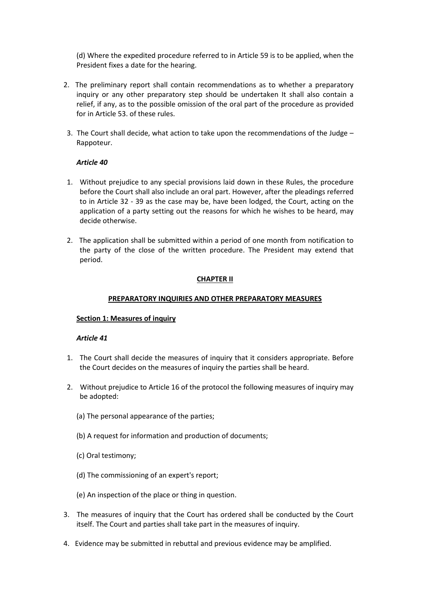(d) Where the expedited procedure referred to in Article 59 is to be applied, when the President fixes a date for the hearing.

- 2. The preliminary report shall contain recommendations as to whether a preparatory inquiry or any other preparatory step should be undertaken It shall also contain a relief, if any, as to the possible omission of the oral part of the procedure as provided for in Article 53. of these rules.
- 3. The Court shall decide, what action to take upon the recommendations of the Judge Rappoteur.

### *Article 40*

- 1. Without prejudice to any special provisions laid down in these Rules, the procedure before the Court shall also include an oral part. However, after the pleadings referred to in Article 32 - 39 as the case may be, have been lodged, the Court, acting on the application of a party setting out the reasons for which he wishes to be heard, may decide otherwise.
- 2. The application shall be submitted within a period of one month from notification to the party of the close of the written procedure. The President may extend that period.

# **CHAPTER II**

### **PREPARATORY INQUIRIES AND OTHER PREPARATORY MEASURES**

### **Section 1: Measures of inquiry**

- 1. The Court shall decide the measures of inquiry that it considers appropriate. Before the Court decides on the measures of inquiry the parties shall be heard.
- 2. Without prejudice to Article 16 of the protocol the following measures of inquiry may be adopted:
	- (a) The personal appearance of the parties;
	- (b) A request for information and production of documents;
	- (c) Oral testimony;
	- (d) The commissioning of an expert's report;
	- (e) An inspection of the place or thing in question.
- 3. The measures of inquiry that the Court has ordered shall be conducted by the Court itself. The Court and parties shall take part in the measures of inquiry.
- 4. Evidence may be submitted in rebuttal and previous evidence may be amplified.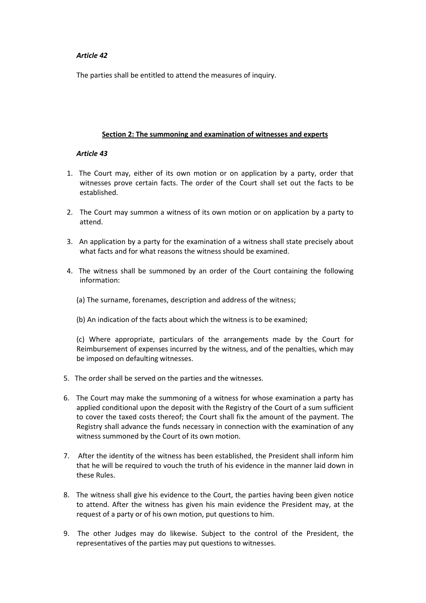The parties shall be entitled to attend the measures of inquiry.

### **Section 2: The summoning and examination of witnesses and experts**

### *Article 43*

- 1. The Court may, either of its own motion or on application by a party, order that witnesses prove certain facts. The order of the Court shall set out the facts to be established.
- 2. The Court may summon a witness of its own motion or on application by a party to attend.
- 3. An application by a party for the examination of a witness shall state precisely about what facts and for what reasons the witness should be examined.
- 4. The witness shall be summoned by an order of the Court containing the following information:
	- (a) The surname, forenames, description and address of the witness;
	- (b) An indication of the facts about which the witness is to be examined;

(c) Where appropriate, particulars of the arrangements made by the Court for Reimbursement of expenses incurred by the witness, and of the penalties, which may be imposed on defaulting witnesses.

- 5. The order shall be served on the parties and the witnesses.
- 6. The Court may make the summoning of a witness for whose examination a party has applied conditional upon the deposit with the Registry of the Court of a sum sufficient to cover the taxed costs thereof; the Court shall fix the amount of the payment. The Registry shall advance the funds necessary in connection with the examination of any witness summoned by the Court of its own motion.
- 7. After the identity of the witness has been established, the President shall inform him that he will be required to vouch the truth of his evidence in the manner laid down in these Rules.
- 8. The witness shall give his evidence to the Court, the parties having been given notice to attend. After the witness has given his main evidence the President may, at the request of a party or of his own motion, put questions to him.
- 9. The other Judges may do likewise. Subject to the control of the President, the representatives of the parties may put questions to witnesses.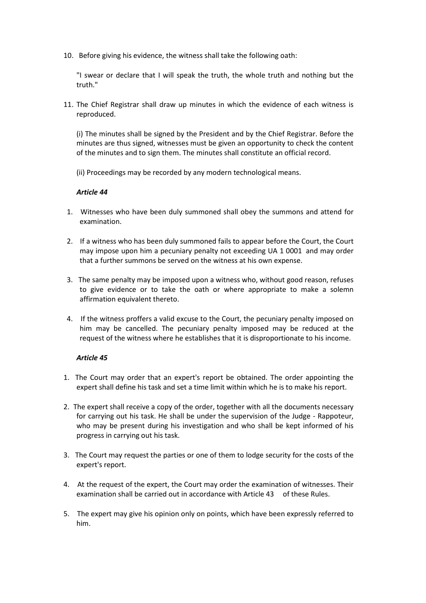10. Before giving his evidence, the witness shall take the following oath:

"I swear or declare that I will speak the truth, the whole truth and nothing but the truth."

11. The Chief Registrar shall draw up minutes in which the evidence of each witness is reproduced.

(i) The minutes shall be signed by the President and by the Chief Registrar. Before the minutes are thus signed, witnesses must be given an opportunity to check the content of the minutes and to sign them. The minutes shall constitute an official record.

(ii) Proceedings may be recorded by any modern technological means.

# *Article 44*

- 1. Witnesses who have been duly summoned shall obey the summons and attend for examination.
- 2. If a witness who has been duly summoned fails to appear before the Court, the Court may impose upon him a pecuniary penalty not exceeding UA 1 0001 and may order that a further summons be served on the witness at his own expense.
- 3. The same penalty may be imposed upon a witness who, without good reason, refuses to give evidence or to take the oath or where appropriate to make a solemn affirmation equivalent thereto.
- 4. If the witness proffers a valid excuse to the Court, the pecuniary penalty imposed on him may be cancelled. The pecuniary penalty imposed may be reduced at the request of the witness where he establishes that it is disproportionate to his income.

- 1. The Court may order that an expert's report be obtained. The order appointing the expert shall define his task and set a time limit within which he is to make his report.
- 2. The expert shall receive a copy of the order, together with all the documents necessary for carrying out his task. He shall be under the supervision of the Judge - Rappoteur, who may be present during his investigation and who shall be kept informed of his progress in carrying out his task.
- 3. The Court may request the parties or one of them to lodge security for the costs of the expert's report.
- 4. At the request of the expert, the Court may order the examination of witnesses. Their examination shall be carried out in accordance with Article 43 of these Rules.
- 5. The expert may give his opinion only on points, which have been expressly referred to him.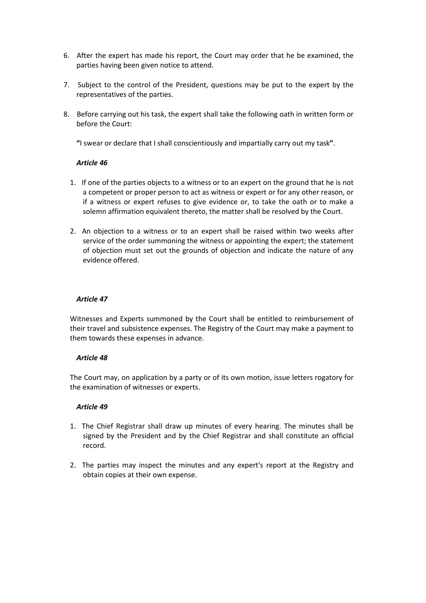- 6. After the expert has made his report, the Court may order that he be examined, the parties having been given notice to attend.
- 7. Subject to the control of the President, questions may be put to the expert by the representatives of the parties.
- 8. Before carrying out his task, the expert shall take the following oath in written form or before the Court:

**"**I swear or declare that I shall conscientiously and impartially carry out my task**"**.

### *Article 46*

- 1. If one of the parties objects to a witness or to an expert on the ground that he is not a competent or proper person to act as witness or expert or for any other reason, or if a witness or expert refuses to give evidence or, to take the oath or to make a solemn affirmation equivalent thereto, the matter shall be resolved by the Court.
- 2. An objection to a witness or to an expert shall be raised within two weeks after service of the order summoning the witness or appointing the expert; the statement of objection must set out the grounds of objection and indicate the nature of any evidence offered.

# *Article 47*

Witnesses and Experts summoned by the Court shall be entitled to reimbursement of their travel and subsistence expenses. The Registry of the Court may make a payment to them towards these expenses in advance.

### *Article 48*

The Court may, on application by a party or of its own motion, issue letters rogatory for the examination of witnesses or experts.

- 1. The Chief Registrar shall draw up minutes of every hearing. The minutes shall be signed by the President and by the Chief Registrar and shall constitute an official record.
- 2. The parties may inspect the minutes and any expert's report at the Registry and obtain copies at their own expense.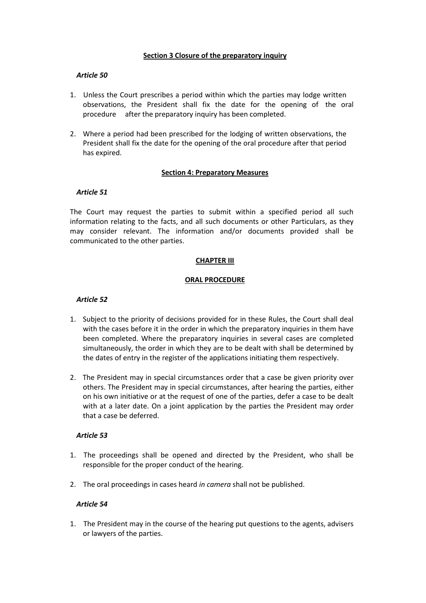# **Section 3 Closure of the preparatory inquiry**

### *Article 50*

- 1. Unless the Court prescribes a period within which the parties may lodge written observations, the President shall fix the date for the opening of the oral procedure after the preparatory inquiry has been completed.
- 2. Where a period had been prescribed for the lodging of written observations, the President shall fix the date for the opening of the oral procedure after that period has expired.

# **Section 4: Preparatory Measures**

# *Article 51*

The Court may request the parties to submit within a specified period all such information relating to the facts, and all such documents or other Particulars, as they may consider relevant. The information and/or documents provided shall be communicated to the other parties.

### **CHAPTER III**

# **ORAL PROCEDURE**

# *Article 52*

- 1. Subject to the priority of decisions provided for in these Rules, the Court shall deal with the cases before it in the order in which the preparatory inquiries in them have been completed. Where the preparatory inquiries in several cases are completed simultaneously, the order in which they are to be dealt with shall be determined by the dates of entry in the register of the applications initiating them respectively.
- 2. The President may in special circumstances order that a case be given priority over others. The President may in special circumstances, after hearing the parties, either on his own initiative or at the request of one of the parties, defer a case to be dealt with at a later date. On a joint application by the parties the President may order that a case be deferred.

### *Article 53*

- 1. The proceedings shall be opened and directed by the President, who shall be responsible for the proper conduct of the hearing.
- 2. The oral proceedings in cases heard *in camera* shall not be published.

### *Article 54*

1. The President may in the course of the hearing put questions to the agents, advisers or lawyers of the parties.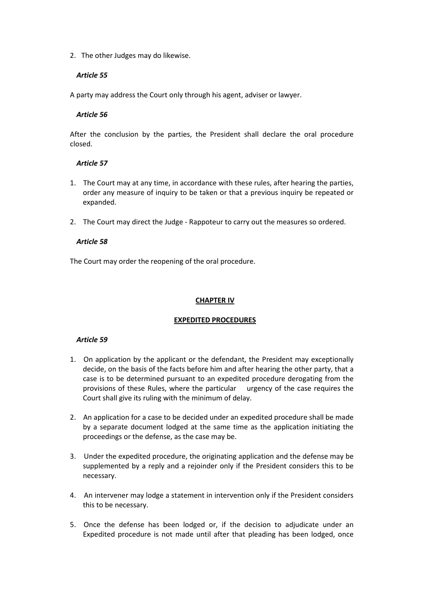2. The other Judges may do likewise.

### *Article 55*

A party may address the Court only through his agent, adviser or lawyer.

### *Article 56*

After the conclusion by the parties, the President shall declare the oral procedure closed.

# *Article 57*

- 1. The Court may at any time, in accordance with these rules, after hearing the parties, order any measure of inquiry to be taken or that a previous inquiry be repeated or expanded.
- 2. The Court may direct the Judge Rappoteur to carry out the measures so ordered.

# *Article 58*

The Court may order the reopening of the oral procedure.

# **CHAPTER IV**

### **EXPEDITED PROCEDURES**

- 1. On application by the applicant or the defendant, the President may exceptionally decide, on the basis of the facts before him and after hearing the other party, that a case is to be determined pursuant to an expedited procedure derogating from the provisions of these Rules, where the particular urgency of the case requires the Court shall give its ruling with the minimum of delay.
- 2. An application for a case to be decided under an expedited procedure shall be made by a separate document lodged at the same time as the application initiating the proceedings or the defense, as the case may be.
- 3. Under the expedited procedure, the originating application and the defense may be supplemented by a reply and a rejoinder only if the President considers this to be necessary.
- 4. An intervener may lodge a statement in intervention only if the President considers this to be necessary.
- 5. Once the defense has been lodged or, if the decision to adjudicate under an Expedited procedure is not made until after that pleading has been lodged, once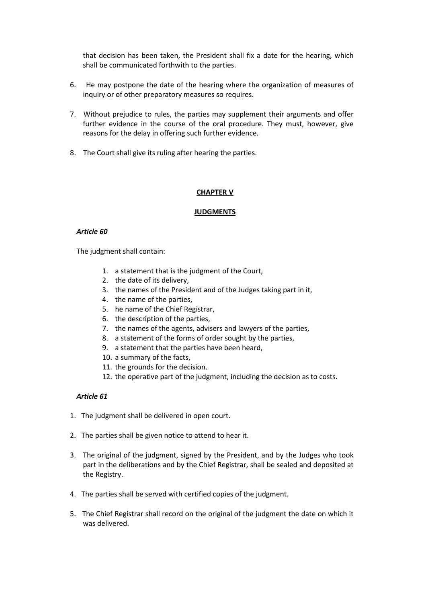that decision has been taken, the President shall fix a date for the hearing, which shall be communicated forthwith to the parties.

- 6. He may postpone the date of the hearing where the organization of measures of inquiry or of other preparatory measures so requires.
- 7. Without prejudice to rules, the parties may supplement their arguments and offer further evidence in the course of the oral procedure. They must, however, give reasons for the delay in offering such further evidence.
- 8. The Court shall give its ruling after hearing the parties.

### **CHAPTER V**

#### **JUDGMENTS**

#### *Article 60*

The judgment shall contain:

- 1. a statement that is the judgment of the Court,
- 2. the date of its delivery,
- 3. the names of the President and of the Judges taking part in it,
- 4. the name of the parties,
- 5. he name of the Chief Registrar,
- 6. the description of the parties,
- 7. the names of the agents, advisers and lawyers of the parties,
- 8. a statement of the forms of order sought by the parties,
- 9. a statement that the parties have been heard,
- 10. a summary of the facts,
- 11. the grounds for the decision.
- 12. the operative part of the judgment, including the decision as to costs.

- 1. The judgment shall be delivered in open court.
- 2. The parties shall be given notice to attend to hear it.
- 3. The original of the judgment, signed by the President, and by the Judges who took part in the deliberations and by the Chief Registrar, shall be sealed and deposited at the Registry.
- 4. The parties shall be served with certified copies of the judgment.
- 5. The Chief Registrar shall record on the original of the judgment the date on which it was delivered.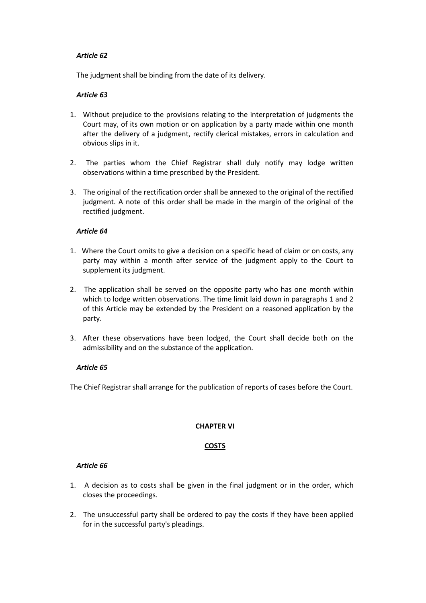The judgment shall be binding from the date of its delivery.

# *Article 63*

- 1. Without prejudice to the provisions relating to the interpretation of judgments the Court may, of its own motion or on application by a party made within one month after the delivery of a judgment, rectify clerical mistakes, errors in calculation and obvious slips in it.
- 2. The parties whom the Chief Registrar shall duly notify may lodge written observations within a time prescribed by the President.
- 3. The original of the rectification order shall be annexed to the original of the rectified judgment. A note of this order shall be made in the margin of the original of the rectified judgment.

# *Article 64*

- 1. Where the Court omits to give a decision on a specific head of claim or on costs, any party may within a month after service of the judgment apply to the Court to supplement its judgment.
- 2. The application shall be served on the opposite party who has one month within which to lodge written observations. The time limit laid down in paragraphs 1 and 2 of this Article may be extended by the President on a reasoned application by the party.
- 3. After these observations have been lodged, the Court shall decide both on the admissibility and on the substance of the application.

### *Article 65*

The Chief Registrar shall arrange for the publication of reports of cases before the Court.

### **CHAPTER VI**

### **COSTS**

- 1. A decision as to costs shall be given in the final judgment or in the order, which closes the proceedings.
- 2. The unsuccessful party shall be ordered to pay the costs if they have been applied for in the successful party's pleadings.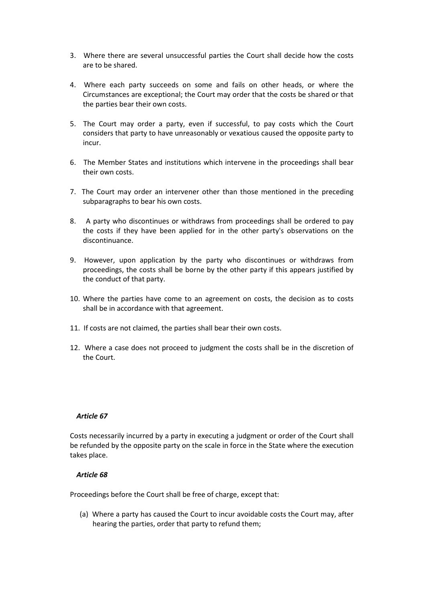- 3. Where there are several unsuccessful parties the Court shall decide how the costs are to be shared.
- 4. Where each party succeeds on some and fails on other heads, or where the Circumstances are exceptional; the Court may order that the costs be shared or that the parties bear their own costs.
- 5. The Court may order a party, even if successful, to pay costs which the Court considers that party to have unreasonably or vexatious caused the opposite party to incur.
- 6. The Member States and institutions which intervene in the proceedings shall bear their own costs.
- 7. The Court may order an intervener other than those mentioned in the preceding subparagraphs to bear his own costs.
- 8. A party who discontinues or withdraws from proceedings shall be ordered to pay the costs if they have been applied for in the other party's observations on the discontinuance.
- 9. However, upon application by the party who discontinues or withdraws from proceedings, the costs shall be borne by the other party if this appears justified by the conduct of that party.
- 10. Where the parties have come to an agreement on costs, the decision as to costs shall be in accordance with that agreement.
- 11. If costs are not claimed, the parties shall bear their own costs.
- 12. Where a case does not proceed to judgment the costs shall be in the discretion of the Court.

Costs necessarily incurred by a party in executing a judgment or order of the Court shall be refunded by the opposite party on the scale in force in the State where the execution takes place.

### *Article 68*

Proceedings before the Court shall be free of charge, except that:

(a) Where a party has caused the Court to incur avoidable costs the Court may, after hearing the parties, order that party to refund them;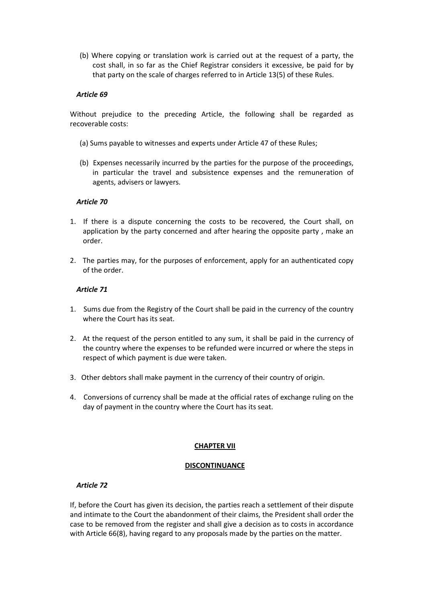(b) Where copying or translation work is carried out at the request of a party, the cost shall, in so far as the Chief Registrar considers it excessive, be paid for by that party on the scale of charges referred to in Article 13(5) of these Rules.

### *Article 69*

Without prejudice to the preceding Article, the following shall be regarded as recoverable costs:

- (a) Sums payable to witnesses and experts under Article 47 of these Rules;
- (b) Expenses necessarily incurred by the parties for the purpose of the proceedings, in particular the travel and subsistence expenses and the remuneration of agents, advisers or lawyers.

### *Article 70*

- 1. If there is a dispute concerning the costs to be recovered, the Court shall, on application by the party concerned and after hearing the opposite party , make an order.
- 2. The parties may, for the purposes of enforcement, apply for an authenticated copy of the order.

### *Article 71*

- 1. Sums due from the Registry of the Court shall be paid in the currency of the country where the Court has its seat.
- 2. At the request of the person entitled to any sum, it shall be paid in the currency of the country where the expenses to be refunded were incurred or where the steps in respect of which payment is due were taken.
- 3. Other debtors shall make payment in the currency of their country of origin.
- 4. Conversions of currency shall be made at the official rates of exchange ruling on the day of payment in the country where the Court has its seat.

### **CHAPTER VII**

#### **DISCONTINUANCE**

### *Article 72*

If, before the Court has given its decision, the parties reach a settlement of their dispute and intimate to the Court the abandonment of their claims, the President shall order the case to be removed from the register and shall give a decision as to costs in accordance with Article 66(8), having regard to any proposals made by the parties on the matter.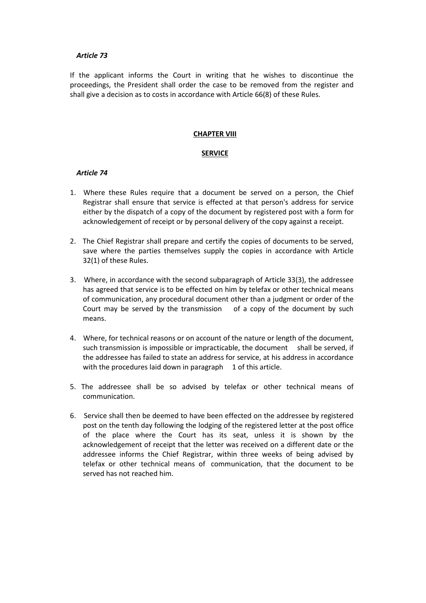If the applicant informs the Court in writing that he wishes to discontinue the proceedings, the President shall order the case to be removed from the register and shall give a decision as to costs in accordance with Article 66(8) of these Rules.

# **CHAPTER VIII**

### **SERVICE**

- 1. Where these Rules require that a document be served on a person, the Chief Registrar shall ensure that service is effected at that person's address for service either by the dispatch of a copy of the document by registered post with a form for acknowledgement of receipt or by personal delivery of the copy against a receipt.
- 2. The Chief Registrar shall prepare and certify the copies of documents to be served, save where the parties themselves supply the copies in accordance with Article 32(1) of these Rules.
- 3. Where, in accordance with the second subparagraph of Article 33(3), the addressee has agreed that service is to be effected on him by telefax or other technical means of communication, any procedural document other than a judgment or order of the Court may be served by the transmission of a copy of the document by such means.
- 4. Where, for technical reasons or on account of the nature or length of the document, such transmission is impossible or impracticable, the document shall be served, if the addressee has failed to state an address for service, at his address in accordance with the procedures laid down in paragraph 1 of this article.
- 5. The addressee shall be so advised by telefax or other technical means of communication.
- 6. Service shall then be deemed to have been effected on the addressee by registered post on the tenth day following the lodging of the registered letter at the post office of the place where the Court has its seat, unless it is shown by the acknowledgement of receipt that the letter was received on a different date or the addressee informs the Chief Registrar, within three weeks of being advised by telefax or other technical means of communication, that the document to be served has not reached him.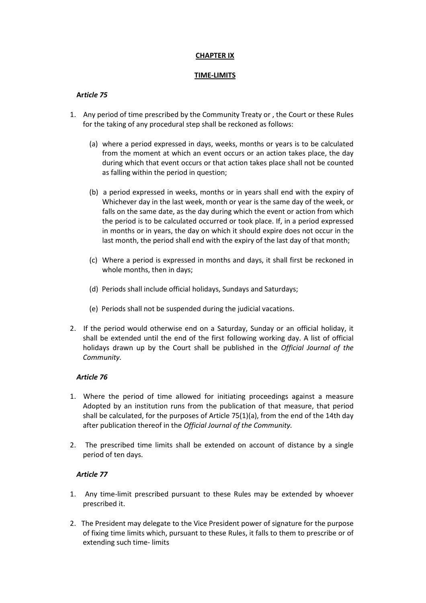### **CHAPTER IX**

### **TIME-LIMITS**

# **Ar***ticle 75*

- 1. Any period of time prescribed by the Community Treaty or , the Court or these Rules for the taking of any procedural step shall be reckoned as follows:
	- (a) where a period expressed in days, weeks, months or years is to be calculated from the moment at which an event occurs or an action takes place, the day during which that event occurs or that action takes place shall not be counted as falling within the period in question;
	- (b) a period expressed in weeks, months or in years shall end with the expiry of Whichever day in the last week, month or year is the same day of the week, or falls on the same date, as the day during which the event or action from which the period is to be calculated occurred or took place. If, in a period expressed in months or in years, the day on which it should expire does not occur in the last month, the period shall end with the expiry of the last day of that month;
	- (c) Where a period is expressed in months and days, it shall first be reckoned in whole months, then in days;
	- (d) Periods shall include official holidays, Sundays and Saturdays;
	- (e) Periods shall not be suspended during the judicial vacations.
- 2. If the period would otherwise end on a Saturday, Sunday or an official holiday, it shall be extended until the end of the first following working day. A list of official holidays drawn up by the Court shall be published in the *Official Journal of the Community.*

### *Article 76*

- 1. Where the period of time allowed for initiating proceedings against a measure Adopted by an institution runs from the publication of that measure, that period shall be calculated, for the purposes of Article 75(1)(a), from the end of the 14th day after publication thereof in the *Official Journal of the Community.*
- 2. The prescribed time limits shall be extended on account of distance by a single period of ten days.

- 1. Any time-limit prescribed pursuant to these Rules may be extended by whoever prescribed it.
- 2. The President may delegate to the Vice President power of signature for the purpose of fixing time limits which, pursuant to these Rules, it falls to them to prescribe or of extending such time- limits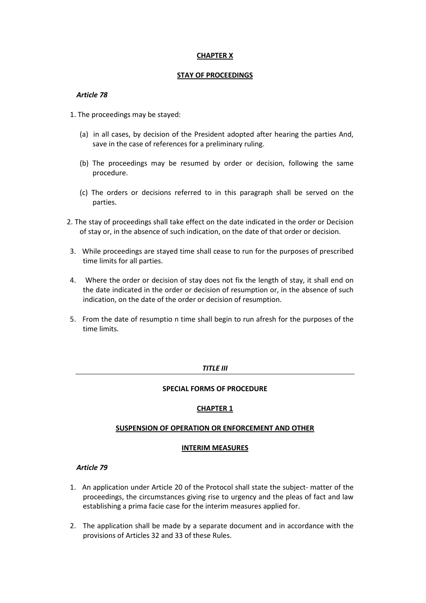### **CHAPTER X**

### **STAY OF PROCEEDINGS**

# *Article 78*

- 1. The proceedings may be stayed:
	- (a) in all cases, by decision of the President adopted after hearing the parties And, save in the case of references for a preliminary ruling.
	- (b) The proceedings may be resumed by order or decision, following the same procedure.
	- (c) The orders or decisions referred to in this paragraph shall be served on the parties.
- 2. The stay of proceedings shall take effect on the date indicated in the order or Decision of stay or, in the absence of such indication, on the date of that order or decision.
- 3. While proceedings are stayed time shall cease to run for the purposes of prescribed time limits for all parties.
- 4. Where the order or decision of stay does not fix the length of stay, it shall end on the date indicated in the order or decision of resumption or, in the absence of such indication, on the date of the order or decision of resumption.
- 5. From the date of resumptio n time shall begin to run afresh for the purposes of the time limits.

### *TITLE III*

### **SPECIAL FORMS OF PROCEDURE**

# **CHAPTER 1**

### **SUSPENSION OF OPERATION OR ENFORCEMENT AND OTHER**

### **INTERIM MEASURES**

- 1. An application under Article 20 of the Protocol shall state the subject- matter of the proceedings, the circumstances giving rise to urgency and the pleas of fact and law establishing a prima facie case for the interim measures applied for.
- 2. The application shall be made by a separate document and in accordance with the provisions of Articles 32 and 33 of these Rules.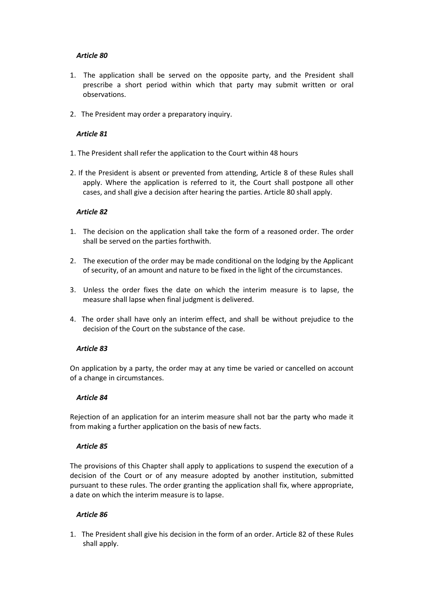- 1. The application shall be served on the opposite party, and the President shall prescribe a short period within which that party may submit written or oral observations.
- 2. The President may order a preparatory inquiry.

# *Article 81*

- 1. The President shall refer the application to the Court within 48 hours
- 2. If the President is absent or prevented from attending, Article 8 of these Rules shall apply. Where the application is referred to it, the Court shall postpone all other cases, and shall give a decision after hearing the parties. Article 80 shall apply.

# *Article 82*

- 1. The decision on the application shall take the form of a reasoned order. The order shall be served on the parties forthwith.
- 2. The execution of the order may be made conditional on the lodging by the Applicant of security, of an amount and nature to be fixed in the light of the circumstances.
- 3. Unless the order fixes the date on which the interim measure is to lapse, the measure shall lapse when final judgment is delivered.
- 4. The order shall have only an interim effect, and shall be without prejudice to the decision of the Court on the substance of the case.

### *Article 83*

On application by a party, the order may at any time be varied or cancelled on account of a change in circumstances.

### *Article 84*

Rejection of an application for an interim measure shall not bar the party who made it from making a further application on the basis of new facts.

### *Article 85*

The provisions of this Chapter shall apply to applications to suspend the execution of a decision of the Court or of any measure adopted by another institution, submitted pursuant to these rules. The order granting the application shall fix, where appropriate, a date on which the interim measure is to lapse.

### *Article 86*

1. The President shall give his decision in the form of an order. Article 82 of these Rules shall apply.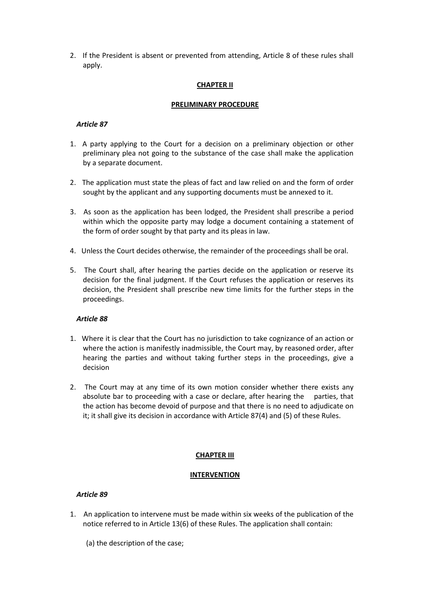2. If the President is absent or prevented from attending, Article 8 of these rules shall apply.

# **CHAPTER II**

### **PRELIMINARY PROCEDURE**

# *Article 87*

- 1. A party applying to the Court for a decision on a preliminary objection or other preliminary plea not going to the substance of the case shall make the application by a separate document.
- 2. The application must state the pleas of fact and law relied on and the form of order sought by the applicant and any supporting documents must be annexed to it.
- 3. As soon as the application has been lodged, the President shall prescribe a period within which the opposite party may lodge a document containing a statement of the form of order sought by that party and its pleas in law.
- 4. Unless the Court decides otherwise, the remainder of the proceedings shall be oral.
- 5. The Court shall, after hearing the parties decide on the application or reserve its decision for the final judgment. If the Court refuses the application or reserves its decision, the President shall prescribe new time limits for the further steps in the proceedings.

### *Article 88*

- 1. Where it is clear that the Court has no jurisdiction to take cognizance of an action or where the action is manifestly inadmissible, the Court may, by reasoned order, after hearing the parties and without taking further steps in the proceedings, give a decision
- 2. The Court may at any time of its own motion consider whether there exists any absolute bar to proceeding with a case or declare, after hearing the parties, that the action has become devoid of purpose and that there is no need to adjudicate on it; it shall give its decision in accordance with Article 87(4) and (5) of these Rules.

# **CHAPTER III**

# **INTERVENTION**

# *Article 89*

1. An application to intervene must be made within six weeks of the publication of the notice referred to in Article 13(6) of these Rules. The application shall contain:

(a) the description of the case;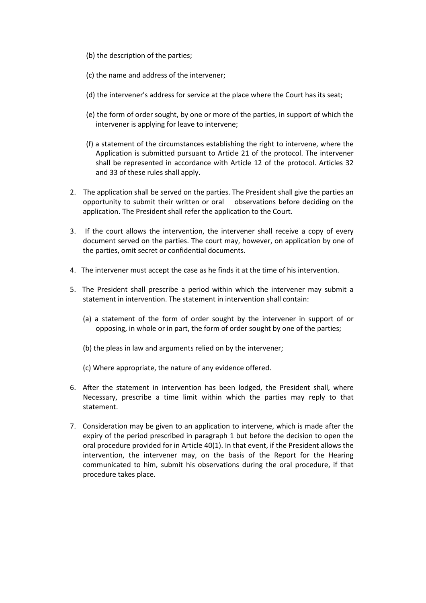- (b) the description of the parties;
- (c) the name and address of the intervener;
- (d) the intervener's address for service at the place where the Court has its seat;
- (e) the form of order sought, by one or more of the parties, in support of which the intervener is applying for leave to intervene;
- (f) a statement of the circumstances establishing the right to intervene, where the Application is submitted pursuant to Article 21 of the protocol. The intervener shall be represented in accordance with Article 12 of the protocol. Articles 32 and 33 of these rules shall apply.
- 2. The application shall be served on the parties. The President shall give the parties an opportunity to submit their written or oral observations before deciding on the application. The President shall refer the application to the Court.
- 3. If the court allows the intervention, the intervener shall receive a copy of every document served on the parties. The court may, however, on application by one of the parties, omit secret or confidential documents.
- 4. The intervener must accept the case as he finds it at the time of his intervention.
- 5. The President shall prescribe a period within which the intervener may submit a statement in intervention. The statement in intervention shall contain:
	- (a) a statement of the form of order sought by the intervener in support of or opposing, in whole or in part, the form of order sought by one of the parties;
	- (b) the pleas in law and arguments relied on by the intervener;
	- (c) Where appropriate, the nature of any evidence offered.
- 6. After the statement in intervention has been lodged, the President shall, where Necessary, prescribe a time limit within which the parties may reply to that statement.
- 7. Consideration may be given to an application to intervene, which is made after the expiry of the period prescribed in paragraph 1 but before the decision to open the oral procedure provided for in Article 40(1). In that event, if the President allows the intervention, the intervener may, on the basis of the Report for the Hearing communicated to him, submit his observations during the oral procedure, if that procedure takes place.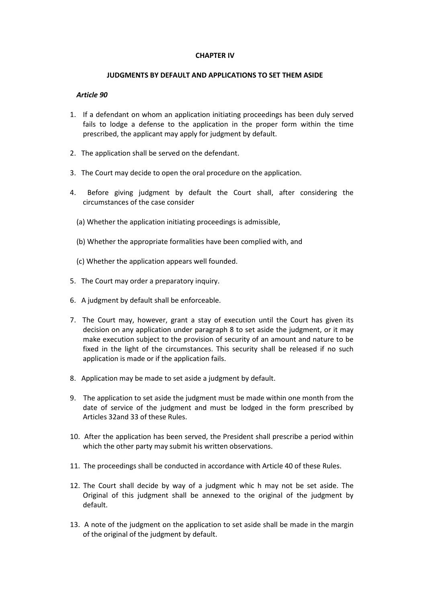#### **CHAPTER IV**

#### **JUDGMENTS BY DEFAULT AND APPLICATIONS TO SET THEM ASIDE**

- 1. If a defendant on whom an application initiating proceedings has been duly served fails to lodge a defense to the application in the proper form within the time prescribed, the applicant may apply for judgment by default.
- 2. The application shall be served on the defendant.
- 3. The Court may decide to open the oral procedure on the application.
- 4. Before giving judgment by default the Court shall, after considering the circumstances of the case consider
	- (a) Whether the application initiating proceedings is admissible,
	- (b) Whether the appropriate formalities have been complied with, and
	- (c) Whether the application appears well founded.
- 5. The Court may order a preparatory inquiry.
- 6. A judgment by default shall be enforceable.
- 7. The Court may, however, grant a stay of execution until the Court has given its decision on any application under paragraph 8 to set aside the judgment, or it may make execution subject to the provision of security of an amount and nature to be fixed in the light of the circumstances. This security shall be released if no such application is made or if the application fails.
- 8. Application may be made to set aside a judgment by default.
- 9. The application to set aside the judgment must be made within one month from the date of service of the judgment and must be lodged in the form prescribed by Articles 32and 33 of these Rules.
- 10. After the application has been served, the President shall prescribe a period within which the other party may submit his written observations.
- 11. The proceedings shall be conducted in accordance with Article 40 of these Rules.
- 12. The Court shall decide by way of a judgment whic h may not be set aside. The Original of this judgment shall be annexed to the original of the judgment by default.
- 13. A note of the judgment on the application to set aside shall be made in the margin of the original of the judgment by default.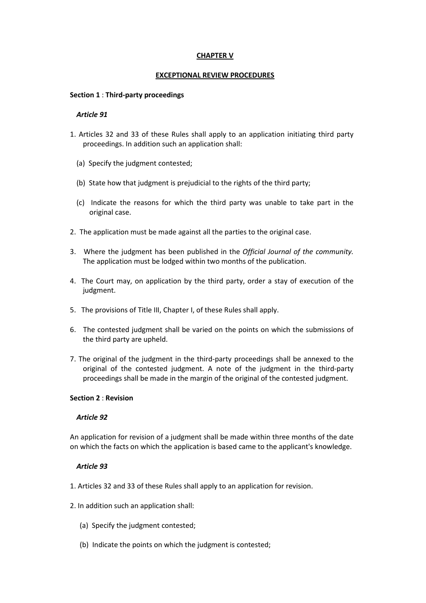### **CHAPTER V**

#### **EXCEPTIONAL REVIEW PROCEDURES**

#### **Section 1** : **Third-party proceedings**

#### *Article 91*

- 1. Articles 32 and 33 of these Rules shall apply to an application initiating third party proceedings. In addition such an application shall:
	- (a) Specify the judgment contested;
	- (b) State how that judgment is prejudicial to the rights of the third party;
	- (c) Indicate the reasons for which the third party was unable to take part in the original case.
- 2. The application must be made against all the parties to the original case.
- 3. Where the judgment has been published in the *Official Journal of the community.*  The application must be lodged within two months of the publication.
- 4. The Court may, on application by the third party, order a stay of execution of the judgment.
- 5. The provisions of Title III, Chapter I, of these Rules shall apply.
- 6. The contested judgment shall be varied on the points on which the submissions of the third party are upheld.
- 7. The original of the judgment in the third-party proceedings shall be annexed to the original of the contested judgment. A note of the judgment in the third-party proceedings shall be made in the margin of the original of the contested judgment.

### **Section 2** : **Revision**

### *Article 92*

An application for revision of a judgment shall be made within three months of the date on which the facts on which the application is based came to the applicant's knowledge.

- 1. Articles 32 and 33 of these Rules shall apply to an application for revision.
- 2. In addition such an application shall:
	- (a) Specify the judgment contested;
	- (b) Indicate the points on which the judgment is contested;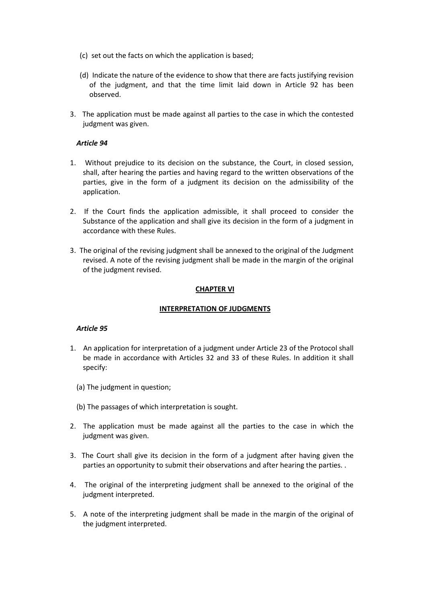- (c) set out the facts on which the application is based;
- (d) Indicate the nature of the evidence to show that there are facts justifying revision of the judgment, and that the time limit laid down in Article 92 has been observed.
- 3. The application must be made against all parties to the case in which the contested judgment was given.

- 1. Without prejudice to its decision on the substance, the Court, in closed session, shall, after hearing the parties and having regard to the written observations of the parties, give in the form of a judgment its decision on the admissibility of the application.
- 2. If the Court finds the application admissible, it shall proceed to consider the Substance of the application and shall give its decision in the form of a judgment in accordance with these Rules.
- 3. The original of the revising judgment shall be annexed to the original of the Judgment revised. A note of the revising judgment shall be made in the margin of the original of the judgment revised.

#### **CHAPTER VI**

#### **INTERPRETATION OF JUDGMENTS**

- 1. An application for interpretation of a judgment under Article 23 of the Protocol shall be made in accordance with Articles 32 and 33 of these Rules. In addition it shall specify:
	- (a) The judgment in question;
	- (b) The passages of which interpretation is sought.
- 2. The application must be made against all the parties to the case in which the judgment was given.
- 3. The Court shall give its decision in the form of a judgment after having given the parties an opportunity to submit their observations and after hearing the parties. .
- 4. The original of the interpreting judgment shall be annexed to the original of the judgment interpreted.
- 5. A note of the interpreting judgment shall be made in the margin of the original of the judgment interpreted.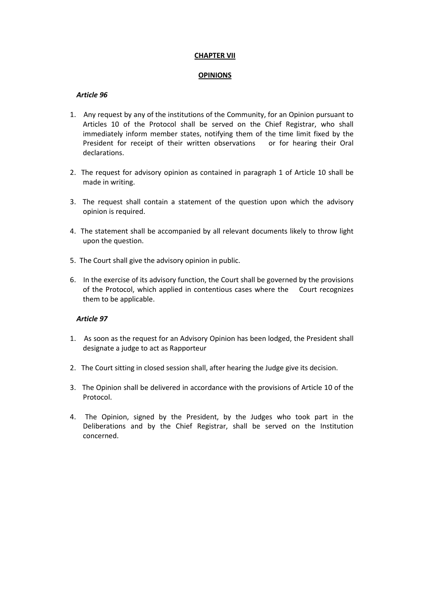### **CHAPTER VII**

#### **OPINIONS**

### *Article 96*

- 1. Any request by any of the institutions of the Community, for an Opinion pursuant to Articles 10 of the Protocol shall be served on the Chief Registrar, who shall immediately inform member states, notifying them of the time limit fixed by the President for receipt of their written observations or for hearing their Oral declarations.
- 2. The request for advisory opinion as contained in paragraph 1 of Article 10 shall be made in writing.
- 3. The request shall contain a statement of the question upon which the advisory opinion is required.
- 4. The statement shall be accompanied by all relevant documents likely to throw light upon the question.
- 5. The Court shall give the advisory opinion in public.
- 6. In the exercise of its advisory function, the Court shall be governed by the provisions of the Protocol, which applied in contentious cases where the Court recognizes them to be applicable.

- 1. As soon as the request for an Advisory Opinion has been lodged, the President shall designate a judge to act as Rapporteur
- 2. The Court sitting in closed session shall, after hearing the Judge give its decision.
- 3. The Opinion shall be delivered in accordance with the provisions of Article 10 of the Protocol.
- 4. The Opinion, signed by the President, by the Judges who took part in the Deliberations and by the Chief Registrar, shall be served on the Institution concerned.